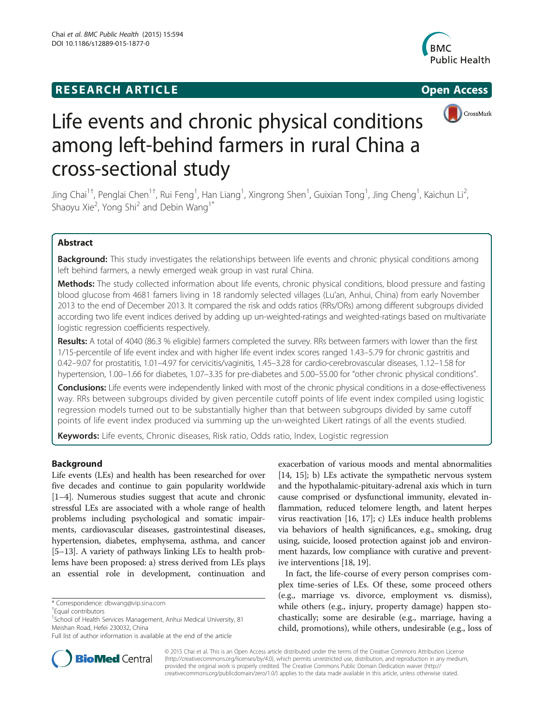# **RESEARCH ARTICLE Example 2014 12:30 The SEAR CHA R TIGGS**





# Life events and chronic physical conditions among left-behind farmers in rural China a cross-sectional study

Jing Chai<sup>1†</sup>, Penglai Chen<sup>1†</sup>, Rui Feng<sup>1</sup>, Han Liang<sup>1</sup>, Xingrong Shen<sup>1</sup>, Guixian Tong<sup>1</sup>, Jing Cheng<sup>1</sup>, Kaichun Li<sup>2</sup> , Shaoyu Xie<sup>2</sup>, Yong Shi<sup>2</sup> and Debin Wang<sup>1\*</sup>

# Abstract

Background: This study investigates the relationships between life events and chronic physical conditions among left behind farmers, a newly emerged weak group in vast rural China.

Methods: The study collected information about life events, chronic physical conditions, blood pressure and fasting blood glucose from 4681 famers living in 18 randomly selected villages (Lu'an, Anhui, China) from early November 2013 to the end of December 2013. It compared the risk and odds ratios (RRs/ORs) among different subgroups divided according two life event indices derived by adding up un-weighted-ratings and weighted-ratings based on multivariate logistic regression coefficients respectively.

Results: A total of 4040 (86.3 % eligible) farmers completed the survey. RRs between farmers with lower than the first 1/15-percentile of life event index and with higher life event index scores ranged 1.43–5.79 for chronic gastritis and 0.42–9.07 for prostatitis, 1.01–4.97 for cervicitis/vaginitis, 1.45–3.28 for cardio-cerebrovascular diseases, 1.12–1.58 for hypertension, 1.00–1.66 for diabetes, 1.07–3.35 for pre-diabetes and 5.00–55.00 for "other chronic physical conditions".

**Conclusions:** Life events were independently linked with most of the chronic physical conditions in a dose-effectiveness way. RRs between subgroups divided by given percentile cutoff points of life event index compiled using logistic regression models turned out to be substantially higher than that between subgroups divided by same cutoff points of life event index produced via summing up the un-weighted Likert ratings of all the events studied.

Keywords: Life events, Chronic diseases, Risk ratio, Odds ratio, Index, Logistic regression

# Background

Life events (LEs) and health has been researched for over five decades and continue to gain popularity worldwide [[1](#page-13-0)–[4](#page-13-0)]. Numerous studies suggest that acute and chronic stressful LEs are associated with a whole range of health problems including psychological and somatic impairments, cardiovascular diseases, gastrointestinal diseases, hypertension, diabetes, emphysema, asthma, and cancer [[5](#page-13-0)–[13\]](#page-14-0). A variety of pathways linking LEs to health problems have been proposed: a) stress derived from LEs plays an essential role in development, continuation and

exacerbation of various moods and mental abnormalities [[14](#page-14-0), [15](#page-14-0)]; b) LEs activate the sympathetic nervous system and the hypothalamic-pituitary-adrenal axis which in turn cause comprised or dysfunctional immunity, elevated inflammation, reduced telomere length, and latent herpes virus reactivation [[16](#page-14-0), [17\]](#page-14-0); c) LEs induce health problems via behaviors of health significances, e.g., smoking, drug using, suicide, loosed protection against job and environment hazards, low compliance with curative and preventive interventions [[18](#page-14-0), [19\]](#page-14-0).

In fact, the life-course of every person comprises complex time-series of LEs. Of these, some proceed others (e.g., marriage vs. divorce, employment vs. dismiss), while others (e.g., injury, property damage) happen stochastically; some are desirable (e.g., marriage, having a child, promotions), while others, undesirable (e.g., loss of



© 2015 Chai et al. This is an Open Access article distributed under the terms of the Creative Commons Attribution License [\(http://creativecommons.org/licenses/by/4.0\)](http://creativecommons.org/licenses/by/4.0), which permits unrestricted use, distribution, and reproduction in any medium, provided the original work is properly credited. The Creative Commons Public Domain Dedication waiver [\(http://](http://creativecommons.org/publicdomain/zero/1.0/) [creativecommons.org/publicdomain/zero/1.0/\)](http://creativecommons.org/publicdomain/zero/1.0/) applies to the data made available in this article, unless otherwise stated.

<sup>\*</sup> Correspondence: [dbwang@vip.sina.com](mailto:dbwang@vip.sina.com) †

Equal contributors

<sup>&</sup>lt;sup>1</sup>School of Health Services Management, Anhui Medical University, 81 Meishan Road, Hefei 230032, China

Full list of author information is available at the end of the article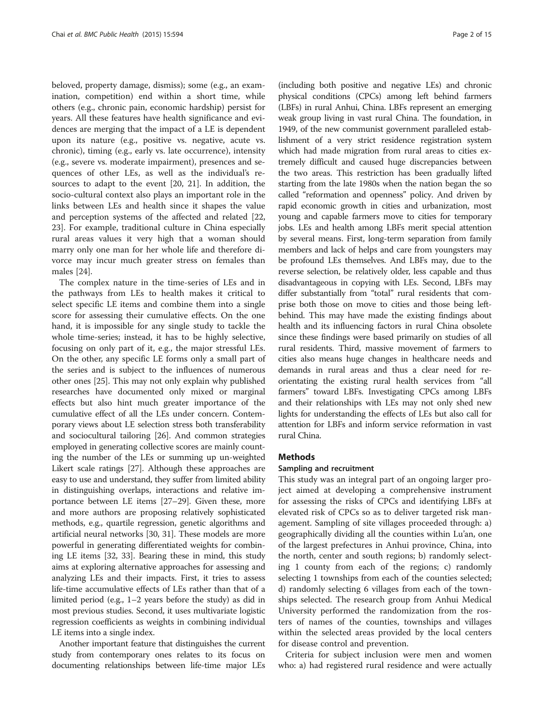beloved, property damage, dismiss); some (e.g., an examination, competition) end within a short time, while others (e.g., chronic pain, economic hardship) persist for years. All these features have health significance and evidences are merging that the impact of a LE is dependent upon its nature (e.g., positive vs. negative, acute vs. chronic), timing (e.g., early vs. late occurrence), intensity (e.g., severe vs. moderate impairment), presences and sequences of other LEs, as well as the individual's resources to adapt to the event [\[20](#page-14-0), [21](#page-14-0)]. In addition, the socio-cultural context also plays an important role in the links between LEs and health since it shapes the value and perception systems of the affected and related [[22](#page-14-0), [23\]](#page-14-0). For example, traditional culture in China especially rural areas values it very high that a woman should marry only one man for her whole life and therefore divorce may incur much greater stress on females than males [\[24\]](#page-14-0).

The complex nature in the time-series of LEs and in the pathways from LEs to health makes it critical to select specific LE items and combine them into a single score for assessing their cumulative effects. On the one hand, it is impossible for any single study to tackle the whole time-series; instead, it has to be highly selective, focusing on only part of it, e.g., the major stressful LEs. On the other, any specific LE forms only a small part of the series and is subject to the influences of numerous other ones [[25](#page-14-0)]. This may not only explain why published researches have documented only mixed or marginal effects but also hint much greater importance of the cumulative effect of all the LEs under concern. Contemporary views about LE selection stress both transferability and sociocultural tailoring [\[26\]](#page-14-0). And common strategies employed in generating collective scores are mainly counting the number of the LEs or summing up un-weighted Likert scale ratings [[27](#page-14-0)]. Although these approaches are easy to use and understand, they suffer from limited ability in distinguishing overlaps, interactions and relative importance between LE items [\[27](#page-14-0)–[29](#page-14-0)]. Given these, more and more authors are proposing relatively sophisticated methods, e.g., quartile regression, genetic algorithms and artificial neural networks [\[30, 31](#page-14-0)]. These models are more powerful in generating differentiated weights for combining LE items [\[32, 33\]](#page-14-0). Bearing these in mind, this study aims at exploring alternative approaches for assessing and analyzing LEs and their impacts. First, it tries to assess life-time accumulative effects of LEs rather than that of a limited period (e.g., 1–2 years before the study) as did in most previous studies. Second, it uses multivariate logistic regression coefficients as weights in combining individual LE items into a single index.

Another important feature that distinguishes the current study from contemporary ones relates to its focus on documenting relationships between life-time major LEs

(including both positive and negative LEs) and chronic physical conditions (CPCs) among left behind farmers (LBFs) in rural Anhui, China. LBFs represent an emerging weak group living in vast rural China. The foundation, in 1949, of the new communist government paralleled establishment of a very strict residence registration system which had made migration from rural areas to cities extremely difficult and caused huge discrepancies between the two areas. This restriction has been gradually lifted starting from the late 1980s when the nation began the so called "reformation and openness" policy. And driven by rapid economic growth in cities and urbanization, most young and capable farmers move to cities for temporary jobs. LEs and health among LBFs merit special attention by several means. First, long-term separation from family members and lack of helps and care from youngsters may be profound LEs themselves. And LBFs may, due to the reverse selection, be relatively older, less capable and thus disadvantageous in copying with LEs. Second, LBFs may differ substantially from "total" rural residents that comprise both those on move to cities and those being leftbehind. This may have made the existing findings about health and its influencing factors in rural China obsolete since these findings were based primarily on studies of all rural residents. Third, massive movement of farmers to cities also means huge changes in healthcare needs and demands in rural areas and thus a clear need for reorientating the existing rural health services from "all farmers" toward LBFs. Investigating CPCs among LBFs and their relationships with LEs may not only shed new lights for understanding the effects of LEs but also call for attention for LBFs and inform service reformation in vast rural China.

# **Methods**

#### Sampling and recruitment

This study was an integral part of an ongoing larger project aimed at developing a comprehensive instrument for assessing the risks of CPCs and identifying LBFs at elevated risk of CPCs so as to deliver targeted risk management. Sampling of site villages proceeded through: a) geographically dividing all the counties within Lu'an, one of the largest prefectures in Anhui province, China, into the north, center and south regions; b) randomly selecting 1 county from each of the regions; c) randomly selecting 1 townships from each of the counties selected; d) randomly selecting 6 villages from each of the townships selected. The research group from Anhui Medical University performed the randomization from the rosters of names of the counties, townships and villages within the selected areas provided by the local centers for disease control and prevention.

Criteria for subject inclusion were men and women who: a) had registered rural residence and were actually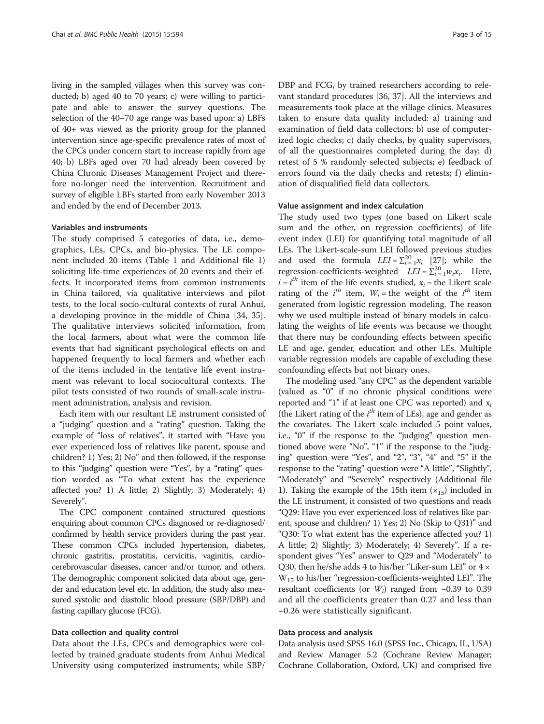living in the sampled villages when this survey was conducted; b) aged 40 to 70 years; c) were willing to participate and able to answer the survey questions. The selection of the 40–70 age range was based upon: a) LBFs of 40+ was viewed as the priority group for the planned intervention since age-specific prevalence rates of most of the CPCs under concern start to increase rapidly from age 40; b) LBFs aged over 70 had already been covered by China Chronic Diseases Management Project and therefore no-longer need the intervention. Recruitment and survey of eligible LBFs started from early November 2013 and ended by the end of December 2013.

#### Variables and instruments

The study comprised 5 categories of data, i.e., demographics, LEs, CPCs, and bio-physics. The LE component included 20 items (Table [1](#page-3-0) and Additional file [1](#page-13-0)) soliciting life-time experiences of 20 events and their effects. It incorporated items from common instruments in China tailored, via qualitative interviews and pilot tests, to the local socio-cultural contexts of rural Anhui, a developing province in the middle of China [\[34, 35](#page-14-0)]. The qualitative interviews solicited information, from the local farmers, about what were the common life events that had significant psychological effects on and happened frequently to local farmers and whether each of the items included in the tentative life event instrument was relevant to local sociocultural contexts. The pilot tests consisted of two rounds of small-scale instrument administration, analysis and revision.

Each item with our resultant LE instrument consisted of a "judging" question and a "rating" question. Taking the example of "loss of relatives", it started with "Have you ever experienced loss of relatives like parent, spouse and children? 1) Yes; 2) No" and then followed, if the response to this "judging" question were "Yes", by a "rating" question worded as "To what extent has the experience affected you? 1) A little; 2) Slightly; 3) Moderately; 4) Severely".

The CPC component contained structured questions enquiring about common CPCs diagnosed or re-diagnosed/ confirmed by health service providers during the past year. These common CPCs included hypertension, diabetes, chronic gastritis, prostatitis, cervicitis, vaginitis, cardiocerebrovascular diseases, cancer and/or tumor, and others. The demographic component solicited data about age, gender and education level etc. In addition, the study also measured systolic and diastolic blood pressure (SBP/DBP) and fasting capillary glucose (FCG).

# Data collection and quality control

Data about the LEs, CPCs and demographics were collected by trained graduate students from Anhui Medical University using computerized instruments; while SBP/ DBP and FCG, by trained researchers according to relevant standard procedures [[36, 37\]](#page-14-0). All the interviews and measurements took place at the village clinics. Measures taken to ensure data quality included: a) training and examination of field data collectors; b) use of computerized logic checks; c) daily checks, by quality supervisors, of all the questionnaires completed during the day; d) retest of 5 % randomly selected subjects; e) feedback of errors found via the daily checks and retests; f) elimination of disqualified field data collectors.

#### Value assignment and index calculation

The study used two types (one based on Likert scale sum and the other, on regression coefficients) of life event index (LEI) for quantifying total magnitude of all LEs. The Likert-scale-sum LEI followed previous studies and used the formula  $LEI = \sum_{i=1}^{20} x_i$  [[27\]](#page-14-0); while the regression-coefficients-weighted  $LEI = \sum_{i=1}^{20} w_i x_i$ . Here,  $i=i^{th}$  item of the life events studied,  $x_i$  = the Likert scale rating of the  $i^{th}$  item,  $W_i$  = the weight of the  $i^{th}$  item generated from logistic regression modeling. The reason why we used multiple instead of binary models in calculating the weights of life events was because we thought that there may be confounding effects between specific LE and age, gender, education and other LEs. Multiple variable regression models are capable of excluding these confounding effects but not binary ones.

The modeling used "any CPC" as the dependent variable (valued as "0" if no chronic physical conditions were reported and "1" if at least one CPC was reported) and  $x_i$ (the Likert rating of the  $i<sup>th</sup>$  item of LEs), age and gender as the covariates. The Likert scale included 5 point values, i.e., "0" if the response to the "judging" question mentioned above were "No", "1" if the response to the "judging" question were "Yes", and "2", "3", "4" and "5" if the response to the "rating" question were "A little", "Slightly", "Moderately" and "Severely" respectively (Additional file [1\)](#page-13-0). Taking the example of the 15th item  $(x_{15})$  included in the LE instrument, it consisted of two questions and reads "Q29: Have you ever experienced loss of relatives like parent, spouse and children? 1) Yes; 2) No (Skip to Q31)" and "Q30: To what extent has the experience affected you? 1) A little; 2) Slightly; 3) Moderately; 4) Severely". If a respondent gives "Yes" answer to Q29 and "Moderately" to Q30, then he/she adds 4 to his/her "Liker-sum LEI" or  $4 \times$  $W_{15}$  to his/her "regression-coefficients-weighted LEI". The resultant coefficients (or  $W_i$ ) ranged from -0.39 to 0.39 and all the coefficients greater than 0.27 and less than −0.26 were statistically significant.

#### Data process and analysis

Data analysis used SPSS 16.0 (SPSS Inc., Chicago, IL, USA) and Review Manager 5.2 (Cochrane Review Manager; Cochrane Collaboration, Oxford, UK) and comprised five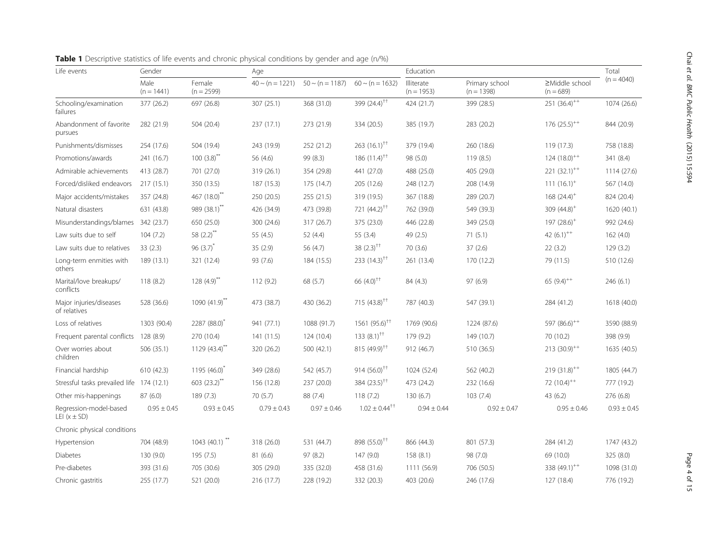| Life events                                | Gender               |                           | Age                  |                      |                                  | Education                  |                                | Total                         |                 |
|--------------------------------------------|----------------------|---------------------------|----------------------|----------------------|----------------------------------|----------------------------|--------------------------------|-------------------------------|-----------------|
|                                            | Male<br>$(n = 1441)$ | Female<br>$(n = 2599)$    | $40 \sim (n = 1221)$ | $50 \sim (n = 1187)$ | $60 \sim (n = 1632)$             | Illiterate<br>$(n = 1953)$ | Primary school<br>$(n = 1398)$ | ≥Middle school<br>$(n = 689)$ | $(n = 4040)$    |
| Schooling/examination<br>failures          | 377 (26.2)           | 697 (26.8)                | 307 (25.1)           | 368 (31.0)           | 399 (24.4) <sup>++</sup>         | 424 (21.7)                 | 399 (28.5)                     | 251 $(36.4)^{++}$             | 1074 (26.6)     |
| Abandonment of favorite<br>pursues         | 282 (21.9)           | 504 (20.4)                | 237 (17.1)           | 273 (21.9)           | 334 (20.5)                       | 385 (19.7)                 | 283 (20.2)                     | $176$ (25.5) <sup>++</sup>    | 844 (20.9)      |
| Punishments/dismisses                      | 254 (17.6)           | 504 (19.4)                | 243 (19.9)           | 252 (21.2)           | $263$ $(16.1)$ <sup>††</sup>     | 379 (19.4)                 | 260 (18.6)                     | 119 (17.3)                    | 758 (18.8)      |
| Promotions/awards                          | 241 (16.7)           | $100(3.8)^{44}$           | 56 (4.6)             | 99 (8.3)             | $186(11.4)^{+1}$                 | 98 (5.0)                   | 119(8.5)                       | $124 (18.0)^{++}$             | 341 (8.4)       |
| Admirable achievements                     | 413 (28.7)           | 701 (27.0)                | 319 (26.1)           | 354 (29.8)           | 441 (27.0)                       | 488 (25.0)                 | 405 (29.0)                     | $221 (32.1)^{++}$             | 1114 (27.6)     |
| Forced/disliked endeavors                  | 217(15.1)            | 350 (13.5)                | 187 (15.3)           | 175(14.7)            | 205 (12.6)                       | 248 (12.7)<br>208 (14.9)   |                                | $111 (16.1)^+$                | 567 (14.0)      |
| Major accidents/mistakes                   | 357 (24.8)           | 467 (18.0)**              | 250 (20.5)           | 255 (21.5)           | 319 (19.5)                       | 367 (18.8)                 | 289 (20.7)                     | 168 $(24.4)^+$                | 824 (20.4)      |
| Natural disasters                          | 631 (43.8)           | 989 (38.1)**              | 426 (34.9)           | 473 (39.8)           | 721 $(44.2)$ <sup>††</sup>       | 762 (39.0)                 | 549 (39.3)                     | 309 $(44.8)^+$                | 1620 (40.1)     |
| Misunderstandings/blames                   | 342 (23.7)           | 650 (25.0)                | 300 (24.6)           | 317 (26.7)           | 375 (23.0)                       | 446 (22.8)                 | 349 (25.0)                     | 197 $(28.6)^+$                | 992 (24.6)      |
| Law suits due to self                      | 104(7.2)             | 58 $(2.2)$ **             | 55 (4.5)             | 52 (4.4)             | 55 (3.4)                         | 49 (2.5)                   | 71(5.1)                        | 42 $(6.1)$ <sup>++</sup>      | 162(4.0)        |
| Law suits due to relatives                 | 33(2.3)              |                           | 35(2.9)              | 56 (4.7)             | 38 $(2.3)$ <sup>††</sup>         | 70(3.6)                    | 37(2.6)                        | 22(3.2)                       | 129(3.2)        |
| Long-term enmities with<br>others          | 189 (13.1)           | 321 (12.4)                | 93 (7.6)             | 184 (15.5)           | 233 $(14.3)$ <sup>††</sup>       | 261 (13.4)                 | 170 (12.2)                     | 79 (11.5)                     | 510 (12.6)      |
| Marital/love breakups/<br>conflicts        | 118 (8.2)            | 128 $(4.9)$ <sup>**</sup> | 112 (9.2)            | 68 (5.7)             | 66 $(4.0)$ <sup>++</sup>         | 84 (4.3)                   | 97 (6.9)                       | 65 $(9.4)$ <sup>++</sup>      | 246 (6.1)       |
| Major injuries/diseases<br>of relatives    | 528 (36.6)           | 1090(41.9)                | 473 (38.7)           | 430 (36.2)           | 715 $(43.8)$ <sup>††</sup>       | 787 (40.3)                 | 547 (39.1)                     | 284 (41.2)                    | 1618 (40.0)     |
| Loss of relatives                          | 1303 (90.4)          | 2287 (88.0)               | 941 (77.1)           | 1088 (91.7)          | $1561 (95.6)$ <sup>††</sup>      | 1769 (90.6)                | 1224 (87.6)                    | 597 $(86.6)$ <sup>++</sup>    | 3590 (88.9)     |
| Frequent parental conflicts                | 128 (8.9)            | 270 (10.4)                | 141(11.5)            | 124(10.4)            | 133 $(8.1)$ <sup>++</sup>        | 179 (9.2)                  | 149 (10.7)                     | 70 (10.2)                     | 398 (9.9)       |
| Over worries about<br>children             | 506 (35.1)           | 1129(43.4)                | 320 (26.2)           | 500 (42.1)           | $815(49.9)$ <sup>††</sup>        | 912 (46.7)                 | 510 (36.5)                     | $213(30.9)$ <sup>++</sup>     | 1635 (40.5)     |
| Financial hardship                         | 610 (42.3)           | 1195 (46.0) <sup>*</sup>  | 349 (28.6)           | 542 (45.7)           | $914(56.0)$ <sup>††</sup>        | 1024 (52.4)                | 562 (40.2)                     | $219(31.8)$ <sup>++</sup>     | 1805 (44.7)     |
| Stressful tasks prevailed life 174 (12.1)  |                      | 603 $(23.2)^{**}$         | 156 (12.8)           | 237 (20.0)           | 384 $(23.5)$ <sup>††</sup>       | 473 (24.2)                 | 232 (16.6)                     | 72 $(10.4)^{++}$              | 777 (19.2)      |
| Other mis-happenings                       | 87(6.0)              | 189 (7.3)                 | 70(5.7)              | 88 (7.4)             | 118(7.2)                         | 130(6.7)                   | 103(7.4)                       | 43 (6.2)                      | 276 (6.8)       |
| Regression-model-based<br>LEI $(x \pm SD)$ | $0.95 \pm 0.45$      | $0.93 \pm 0.45$           | $0.79 \pm 0.43$      | $0.97 \pm 0.46$      | $1.02 \pm 0.44^{\dagger\dagger}$ | $0.94 \pm 0.44$            | $0.92 \pm 0.47$                | $0.95 \pm 0.46$               | $0.93 \pm 0.45$ |
| Chronic physical conditions                |                      |                           |                      |                      |                                  |                            |                                |                               |                 |
| Hypertension                               | 704 (48.9)           | 1043 (40.1) **            | 318 (26.0)           | 531 (44.7)           | 898 (55.0) <sup>++</sup>         | 866 (44.3)                 | 801 (57.3)                     | 284 (41.2)                    | 1747 (43.2)     |
| Diabetes                                   | 130 (9.0)            | 195(7.5)                  | 81(6.6)              | 97(8.2)              | 147(9.0)                         | 158(8.1)                   | 98 (7.0)                       | 69 (10.0)                     | 325(8.0)        |
| Pre-diabetes                               | 393 (31.6)           | 705 (30.6)                | 305 (29.0)           | 335 (32.0)           | 458 (31.6)                       | 1111 (56.9)                | 706 (50.5)                     | 338 $(49.1)$ <sup>++</sup>    | 1098 (31.0)     |
| Chronic gastritis                          | 255 (17.7)           | 521 (20.0)                | 216 (17.7)           | 228 (19.2)           | 332 (20.3)                       | 403 (20.6)                 | 246 (17.6)                     | 127 (18.4)                    | 776 (19.2)      |

<span id="page-3-0"></span>**Table 1** Descriptive statistics of life events and chronic physical conditions by gender and age (n/%)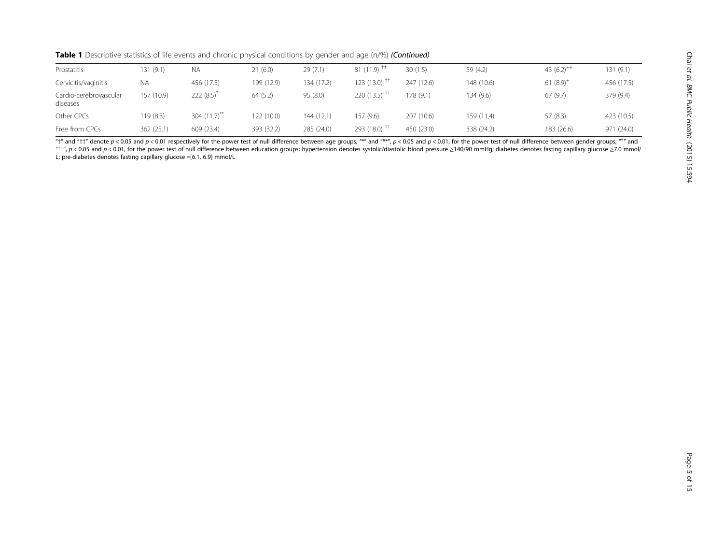Table 1 Descriptive statistics of life events and chronic physical conditions by gender and age (n/%) (Continued)

| Prostatitis                        | 131 (9.1)  | ΝA                | 21(6.0)    | 29(7.1)    | 81 (11.9) $^{\text{+}}$   | 30(1.5)    | 59 (4.2)   | 43 $(6.2)$ <sup>++</sup> | 131(9.1)   |
|------------------------------------|------------|-------------------|------------|------------|---------------------------|------------|------------|--------------------------|------------|
| Cervicitis/vaginitis               | <b>NA</b>  | 456 (17.5)        | 199 (12.9) | 134 (17.2) | $123(13.0)$ <sup>TT</sup> | 247 (12.6) | 148 (10.6) | $61(8.9)^+$              | 456 (17.5) |
| Cardio-cerebrovascular<br>diseases | 157 (10.9) | 222(8.5)          | 64(5.2)    | 95 (8.0)   | 220 (13.5) $^{\text{++}}$ | 178 (9.1)  | 134 (9.6)  | 67(9.7)                  | 379 (9.4)  |
| Other CPCs                         | 119 (8.3)  | 304 $(11.7)^{**}$ | 122 (10.0) | 144 (12.1) | 157 (9.6)                 | 207 (10.6) | 159 (11.4) | 57 (8.3)                 | 423 (10.5) |
| Free from CPCs                     | 362 (25.1) | 609 (23.4)        | 393 (32.2) | 285 (24.0) | $293(18.0)$ <sup>TT</sup> | 450 (23.0) | 338 (24.2) | 183 (26.6)               | 971 (24.0) |

"t" and "tt" denote  $p < 0.05$  and  $p < 0.01$  respectively for the power test of null difference between age groups; "\*" and "\*\*",  $p < 0.05$  and  $p < 0.01$ , for the power test of null difference between gender groups; "\*" an  $^{n+n}$ , p < 0.05 and p < 0.01, for the power test of null difference between education groups; hypertension denotes systolic/diastolic blood pressure ≥140/90 mmHg; diabetes denotes fasting capillary glucose ≥7.0 mmol/ L; pre-diabetes denotes fasting capillary glucose =[6.1, 6.9] mmol/L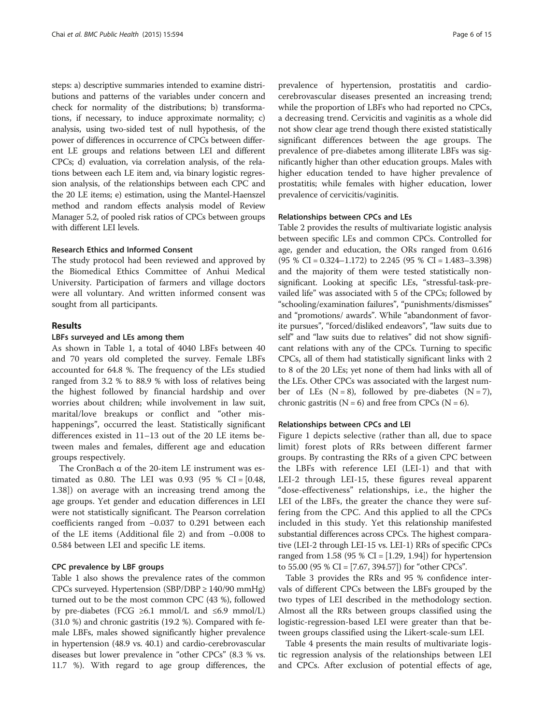steps: a) descriptive summaries intended to examine distributions and patterns of the variables under concern and check for normality of the distributions; b) transformations, if necessary, to induce approximate normality; c) analysis, using two-sided test of null hypothesis, of the power of differences in occurrence of CPCs between different LE groups and relations between LEI and different CPCs; d) evaluation, via correlation analysis, of the relations between each LE item and, via binary logistic regression analysis, of the relationships between each CPC and the 20 LE items; e) estimation, using the Mantel-Haenszel method and random effects analysis model of Review Manager 5.2, of pooled risk ratios of CPCs between groups with different LEI levels.

# Research Ethics and Informed Consent

The study protocol had been reviewed and approved by the Biomedical Ethics Committee of Anhui Medical University. Participation of farmers and village doctors were all voluntary. And written informed consent was sought from all participants.

#### Results

#### LBFs surveyed and LEs among them

As shown in Table [1](#page-3-0), a total of 4040 LBFs between 40 and 70 years old completed the survey. Female LBFs accounted for 64.8 %. The frequency of the LEs studied ranged from 3.2 % to 88.9 % with loss of relatives being the highest followed by financial hardship and over worries about children; while involvement in law suit, marital/love breakups or conflict and "other mishappenings", occurred the least. Statistically significant differences existed in 11–13 out of the 20 LE items between males and females, different age and education groups respectively.

The CronBach α of the 20-item LE instrument was estimated as 0.80. The LEI was 0.93 (95 % CI =  $[0.48,$ 1.38]) on average with an increasing trend among the age groups. Yet gender and education differences in LEI were not statistically significant. The Pearson correlation coefficients ranged from −0.037 to 0.291 between each of the LE items (Additional file [2\)](#page-13-0) and from −0.008 to 0.584 between LEI and specific LE items.

### CPC prevalence by LBF groups

Table [1](#page-3-0) also shows the prevalence rates of the common CPCs surveyed. Hypertension (SBP/DBP ≥ 140/90 mmHg) turned out to be the most common CPC (43 %), followed by pre-diabetes (FCG ≥6.1 mmol/L and ≤6.9 mmol/L) (31.0 %) and chronic gastritis (19.2 %). Compared with female LBFs, males showed significantly higher prevalence in hypertension (48.9 vs. 40.1) and cardio-cerebrovascular diseases but lower prevalence in "other CPCs" (8.3 % vs. 11.7 %). With regard to age group differences, the

prevalence of hypertension, prostatitis and cardiocerebrovascular diseases presented an increasing trend; while the proportion of LBFs who had reported no CPCs, a decreasing trend. Cervicitis and vaginitis as a whole did not show clear age trend though there existed statistically significant differences between the age groups. The prevalence of pre-diabetes among illiterate LBFs was significantly higher than other education groups. Males with higher education tended to have higher prevalence of prostatitis; while females with higher education, lower prevalence of cervicitis/vaginitis.

# Relationships between CPCs and LEs

Table [2](#page-6-0) provides the results of multivariate logistic analysis between specific LEs and common CPCs. Controlled for age, gender and education, the ORs ranged from 0.616  $(95 % CI = 0.324 - 1.172)$  to 2.245  $(95 % CI = 1.483 - 3.398)$ and the majority of them were tested statistically nonsignificant. Looking at specific LEs, "stressful-task-prevailed life" was associated with 5 of the CPCs; followed by "schooling/examination failures", "punishments/dismisses" and "promotions/ awards". While "abandonment of favorite pursues", "forced/disliked endeavors", "law suits due to self" and "law suits due to relatives" did not show significant relations with any of the CPCs. Turning to specific CPCs, all of them had statistically significant links with 2 to 8 of the 20 LEs; yet none of them had links with all of the LEs. Other CPCs was associated with the largest number of LEs  $(N = 8)$ , followed by pre-diabetes  $(N = 7)$ , chronic gastritis ( $N = 6$ ) and free from CPCs ( $N = 6$ ).

# Relationships between CPCs and LEI

Figure [1](#page-8-0) depicts selective (rather than all, due to space limit) forest plots of RRs between different farmer groups. By contrasting the RRs of a given CPC between the LBFs with reference LEI (LEI-1) and that with LEI-2 through LEI-15, these figures reveal apparent "dose-effectiveness" relationships, i.e., the higher the LEI of the LBFs, the greater the chance they were suffering from the CPC. And this applied to all the CPCs included in this study. Yet this relationship manifested substantial differences across CPCs. The highest comparative (LEI-2 through LEI-15 vs. LEI-1) RRs of specific CPCs ranged from 1.58 (95 % CI =  $[1.29, 1.94]$ ) for hypertension to 55.00 (95 % CI = [7.67, 394.57]) for "other CPCs".

Table [3](#page-9-0) provides the RRs and 95 % confidence intervals of different CPCs between the LBFs grouped by the two types of LEI described in the methodology section. Almost all the RRs between groups classified using the logistic-regression-based LEI were greater than that between groups classified using the Likert-scale-sum LEI.

Table [4](#page-11-0) presents the main results of multivariate logistic regression analysis of the relationships between LEI and CPCs. After exclusion of potential effects of age,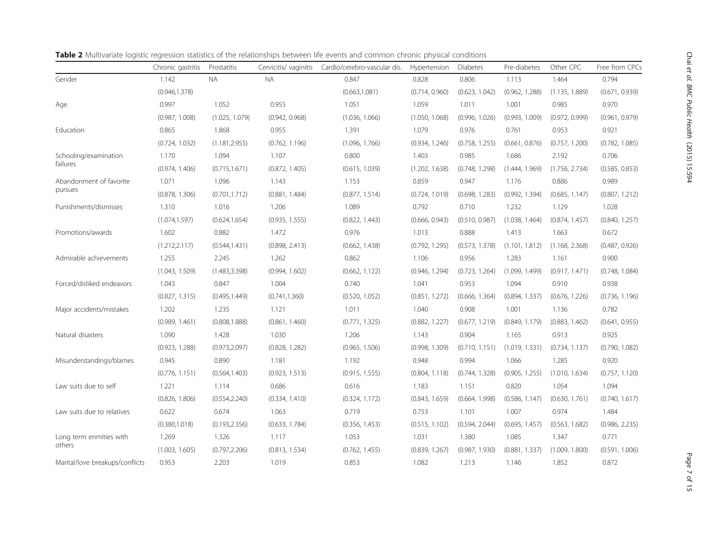|                                 | Chronic gastritis | Prostatitis    | Cervicitis/ vaginitis | Cardio/cerebro-vascular dis. | Hypertension   | Diabetes       | Pre-diabetes   | Other CPC      | Free from CPCs |
|---------------------------------|-------------------|----------------|-----------------------|------------------------------|----------------|----------------|----------------|----------------|----------------|
| Gender                          | 1.142             | <b>NA</b>      | <b>NA</b>             | 0.847                        | 0.828          | 0.806          | 1.113          | 1.464          | 0.794          |
|                                 | (0.946, 1.378)    |                |                       | (0.663, 1.081)               | (0.714, 0.960) | (0.623, 1.042) | (0.962, 1.288) | (1.135, 1.889) | (0.671, 0.939) |
| Age                             | 0.997             | 1.052          | 0.955                 | 1.051                        | 1.059          | 1.011          | 1.001          | 0.985          | 0.970          |
|                                 | (0.987, 1.008)    | (1.025, 1.079) | (0.942, 0.968)        | (1.036, 1.066)               | (1.050, 1.068) | (0.996, 1.026) | (0.993, 1.009) | (0.972, 0.999) | (0.961, 0.979) |
| Education                       | 0.865             | 1.868          | 0.955                 | 1.391                        | 1.079          | 0.976          | 0.761          | 0.953          | 0.921          |
|                                 | (0.724, 1.032)    | (1.181, 2.955) | (0.762, 1.196)        | (1.096, 1.766)               | (0.934, 1.246) | (0.758, 1.255) | (0.661, 0.876) | (0.757, 1.200) | (0.782, 1.085) |
| Schooling/examination           | 1.170             | 1.094          | 1.107                 | 0.800                        | 1.403          | 0.985          | 1.686          | 2.192          | 0.706          |
| failures                        | (0.974, 1.406)    | (0.715, 1.671) | (0.872, 1.405)        | (0.615, 1.039)               | (1.202, 1.638) | (0.748, 1.298) | (1.444, 1.969) | (1.756, 2.734) | (0.585, 0.853) |
| Abandonment of favorite         | 1.071             | 1.096          | 1.143                 | 1.153                        | 0.859          | 0.947          | 1.176          | 0.886          | 0.989          |
| pursues                         | (0.878, 1.306)    | (0.701, 1.712) | (0.881, 1.484)        | (0.877, 1.514)               | (0.724, 1.019) | (0.698, 1.283) | (0.992, 1.394) | (0.685, 1.147) | (0.807, 1.212) |
| Punishments/dismisses           | 1.310             | 1.016          | 1.206                 | 1.089                        | 0.792          | 0.710          | 1.232          | 1.129          | 1.028          |
|                                 | (1.074, 1.597)    | (0.624, 1.654) | (0.935, 1.555)        | (0.822, 1.443)               | (0.666, 0.943) | (0.510, 0.987) | (1.038, 1.464) | (0.874, 1.457) | (0.840, 1.257) |
| Promotions/awards               | 1.602             | 0.882          | 1.472                 | 0.976                        | 1.013          | 0.888          | 1.413          | 1.663          | 0.672          |
|                                 | (1.212, 2.117)    | (0.544, 1.431) | (0.898, 2.413)        | (0.662, 1.438)               | (0.792, 1.295) | (0.573, 1.378) | (1.101, 1.812) | (1.168, 2.368) | (0.487, 0.926) |
| Admirable achievements          | 1.255             | 2.245          | 1.262                 | 0.862                        | 1.106          | 0.956          | 1.283          | 1.161          | 0.900          |
|                                 | (1.043, 1.509)    | (1.483, 3.398) | (0.994, 1.602)        | (0.662, 1.122)               | (0.946, 1.294) | (0.723, 1.264) | (1.099, 1.499) | (0.917, 1.471) | (0.748, 1.084) |
| Forced/disliked endeavors       | 1.043             | 0.847          | 1.004                 | 0.740                        | 1.041          | 0.953          | 1.094          | 0.910          | 0.938          |
|                                 | (0.827, 1.315)    | (0.495, 1.449) | (0.741, 1.360)        | (0.520, 1.052)               | (0.851, 1.272) | (0.666, 1.364) | (0.894, 1.337) | (0.676, 1.226) | (0.736, 1.196) |
| Major accidents/mistakes        | 1.202             | 1.235          | 1.121                 | 1.011                        | 1.040          | 0.908          | 1.001          | 1.136          | 0.782          |
|                                 | (0.989, 1.461)    | (0.808, 1.888) | (0.861, 1.460)        | (0.771, 1.325)               | (0.882, 1.227) | (0.677, 1.219) | (0.849, 1.179) | (0.883, 1.462) | (0.641, 0.955) |
| Natural disasters               | 1.090             | 1.428          | 1.030                 | 1.206                        | 1.143          | 0.904          | 1.165          | 0.913          | 0.925          |
|                                 | (0.923, 1.288)    | (0.973, 2.097) | (0.828, 1.282)        | (0.965, 1.506)               | (0.998, 1.309) | (0.710, 1.151) | (1.019, 1.331) | (0.734, 1.137) | (0.790, 1.082) |
| Misunderstandings/blames        | 0.945             | 0.890          | 1.181                 | 1.192                        | 0.948          | 0.994          | 1.066          | 1.285          | 0.920          |
|                                 | (0.776, 1.151)    | (0.564, 1.403) | (0.923, 1.513)        | (0.915, 1.555)               | (0.804, 1.118) | (0.744, 1.328) | (0.905, 1.255) | (1.010, 1.634) | (0.757, 1.120) |
| Law suits due to self           | 1.221             | 1.114          | 0.686                 | 0.616                        | 1.183          | 1.151          | 0.820          | 1.054          | 1.094          |
|                                 | (0.826, 1.806)    | (0.554, 2.240) | (0.334, 1.410)        | (0.324, 1.172)               | (0.843, 1.659) | (0.664, 1.998) | (0.586, 1.147) | (0.630, 1.761) | (0.740, 1.617) |
| Law suits due to relatives      | 0.622             | 0.674          | 1.063                 | 0.719                        | 0.753          | 1.101          | 1.007          | 0.974          | 1.484          |
|                                 | (0.380, 1.018)    | (0.193, 2.356) | (0.633, 1.784)        | (0.356, 1.453)               | (0.515, 1.102) | (0.594, 2.044) | (0.695, 1.457) | (0.563, 1.682) | (0.986, 2.235) |
| Long term enmities with         | 1.269             | 1.326          | 1.117                 | 1.053                        | 1.031          | 1.380          | 1.085          | 1.347          | 0.771          |
| others                          | (1.003, 1.605)    | (0.797, 2.206) | (0.813, 1.534)        | (0.762, 1.455)               | (0.839, 1.267) | (0.987, 1.930) | (0.881, 1.337) | (1.009, 1.800) | (0.591, 1.006) |
| Marital/love breakups/conflicts | 0.953             | 2.203          | 1.019                 | 0.853                        | 1.082          | 1.213          | 1.146          | 1.852          | 0.872          |

<span id="page-6-0"></span>Table 2 Multivariate logistic regression statistics of the relationships between life events and common chronic physical conditions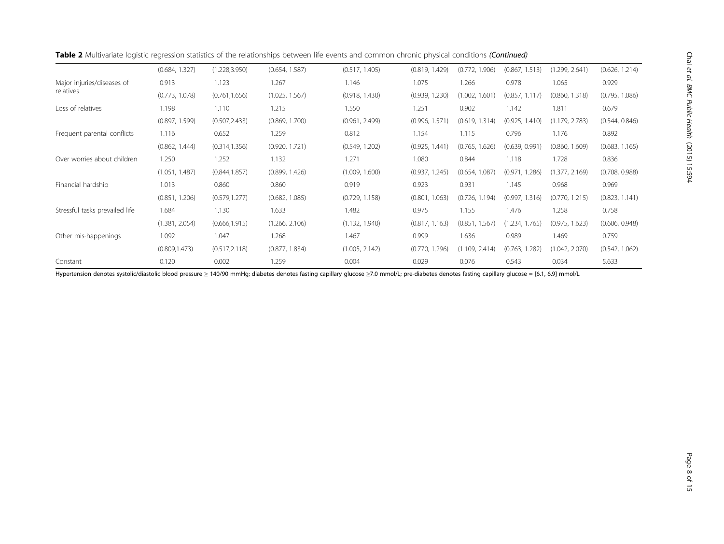| Table 2 Multivariate logistic regression statistics of the relationships between life events and common chronic physical conditions (Continued) |  |  |  |
|-------------------------------------------------------------------------------------------------------------------------------------------------|--|--|--|
|-------------------------------------------------------------------------------------------------------------------------------------------------|--|--|--|

|                                | (0.684, 1.327) | (1.228, 3.950) | (0.654, 1.587) | (0.517, 1.405) | (0.819, 1.429) | (0.772, 1.906) | (0.867, 1.513) | (1.299, 2.641) | (0.626, 1.214) |
|--------------------------------|----------------|----------------|----------------|----------------|----------------|----------------|----------------|----------------|----------------|
| Major injuries/diseases of     | 0.913          | 1.123          | 1.267          | 1.146          | 1.075          | 1.266          | 0.978          | 1.065          | 0.929          |
| relatives                      | (0.773, 1.078) | (0.761, 1.656) | (1.025, 1.567) | (0.918, 1.430) | (0.939, 1.230) | (1.002, 1.601) | (0.857, 1.117) | (0.860, 1.318) | (0.795, 1.086) |
| Loss of relatives              | 1.198          | 1.110          | 1.215          | 1.550          | 1.251          | 0.902          | 1.142          | 1.811          | 0.679          |
|                                | (0.897, 1.599) | (0.507, 2.433) | (0.869, 1.700) | (0.961, 2.499) | (0.996, 1.571) | (0.619, 1.314) | (0.925, 1.410) | (1.179, 2.783) | (0.544, 0.846) |
| Frequent parental conflicts    | 1.116          | 0.652          | 1.259          | 0.812          | 1.154          | 1.115          | 0.796          | 1.176          | 0.892          |
|                                | (0.862, 1.444) | (0.314, 1.356) | (0.920, 1.721) | (0.549, 1.202) | (0.925, 1.441) | (0.765, 1.626) | (0.639, 0.991) | (0.860, 1.609) | (0.683, 1.165) |
| Over worries about children    | 1.250          | 1.252          | 1.132          | 1.271          | 1.080          | 0.844          | 1.118          | 1.728          | 0.836          |
|                                | (1.051, 1.487) | (0.844, 1.857) | (0.899, 1.426) | (1.009, 1.600) | (0.937, 1.245) | (0.654, 1.087) | (0.971, 1.286) | (1.377, 2.169) | (0.708, 0.988) |
| Financial hardship             | 1.013          | 0.860          | 0.860          | 0.919          | 0.923          | 0.931          | 1.145          | 0.968          | 0.969          |
|                                | (0.851, 1.206) | (0.579, 1.277) | (0.682, 1.085) | (0.729, 1.158) | (0.801, 1.063) | (0.726, 1.194) | (0.997, 1.316) | (0.770, 1.215) | (0.823, 1.141) |
| Stressful tasks prevailed life | 1.684          | 1.130          | 1.633          | 1.482          | 0.975          | 1.155          | 1.476          | 1.258          | 0.758          |
|                                | (1.381, 2.054) | (0.666, 1.915) | (1.266, 2.106) | (1.132, 1.940) | (0.817, 1.163) | (0.851, 1.567) | (1.234, 1.765) | (0.975, 1.623) | (0.606, 0.948) |
| Other mis-happenings           | 1.092          | 1.047          | 1.268          | 1.467          | 0.999          | 1.636          | 0.989          | 1.469          | 0.759          |
|                                | (0.809, 1.473) | (0.517, 2.118) | (0.877, 1.834) | (1.005, 2.142) | (0.770, 1.296) | (1.109, 2.414) | (0.763, 1.282) | (1.042, 2.070) | (0.542, 1.062) |
| Constant                       | 0.120          | 0.002          | 1.259          | 0.004          | 0.029          | 0.076          | 0.543          | 0.034          | 5.633          |

Hypertension denotes systolic/diastolic blood pressure ≥ 140/90 mmHg; diabetes denotes fasting capillary glucose ≥7.0 mmol/L; pre-diabetes denotes fasting capillary glucose = [6.1, 6.9] mmol/L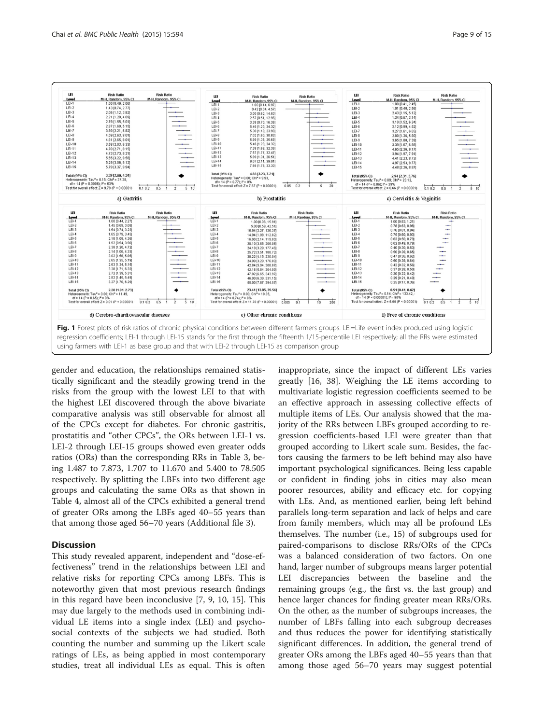<span id="page-8-0"></span>

gender and education, the relationships remained statistically significant and the steadily growing trend in the risks from the group with the lowest LEI to that with the highest LEI discovered through the above bivariate comparative analysis was still observable for almost all of the CPCs except for diabetes. For chronic gastritis, prostatitis and "other CPCs", the ORs between LEI-1 vs. LEI-2 through LEI-15 groups showed even greater odds ratios (ORs) than the corresponding RRs in Table [3,](#page-9-0) being 1.487 to 7.873, 1.707 to 11.670 and 5.400 to 78.505 respectively. By splitting the LBFs into two different age groups and calculating the same ORs as that shown in Table [4,](#page-11-0) almost all of the CPCs exhibited a general trend of greater ORs among the LBFs aged 40–55 years than that among those aged 56–70 years (Additional file [3](#page-13-0)).

# **Discussion**

This study revealed apparent, independent and "dose-effectiveness" trend in the relationships between LEI and relative risks for reporting CPCs among LBFs. This is noteworthy given that most previous research findings in this regard have been inconclusive [[7](#page-14-0), [9, 10](#page-14-0), [15\]](#page-14-0). This may due largely to the methods used in combining individual LE items into a single index (LEI) and psychosocial contexts of the subjects we had studied. Both counting the number and summing up the Likert scale ratings of LEs, as being applied in most contemporary studies, treat all individual LEs as equal. This is often

inappropriate, since the impact of different LEs varies greatly [\[16](#page-14-0), [38\]](#page-14-0). Weighing the LE items according to multivariate logistic regression coefficients seemed to be an effective approach in assessing collective effects of multiple items of LEs. Our analysis showed that the majority of the RRs between LBFs grouped according to regression coefficients-based LEI were greater than that grouped according to Likert scale sum. Besides, the factors causing the farmers to be left behind may also have important psychological significances. Being less capable or confident in finding jobs in cities may also mean poorer resources, ability and efficacy etc. for copying with LEs. And, as mentioned earlier, being left behind parallels long-term separation and lack of helps and care from family members, which may all be profound LEs themselves. The number (i.e., 15) of subgroups used for paired-comparisons to disclose RRs/ORs of the CPCs was a balanced consideration of two factors. On one hand, larger number of subgroups means larger potential LEI discrepancies between the baseline and the remaining groups (e.g., the first vs. the last group) and hence larger chances for finding greater mean RRs/ORs. On the other, as the number of subgroups increases, the number of LBFs falling into each subgroup decreases and thus reduces the power for identifying statistically significant differences. In addition, the general trend of greater ORs among the LBFs aged 40–55 years than that among those aged 56–70 years may suggest potential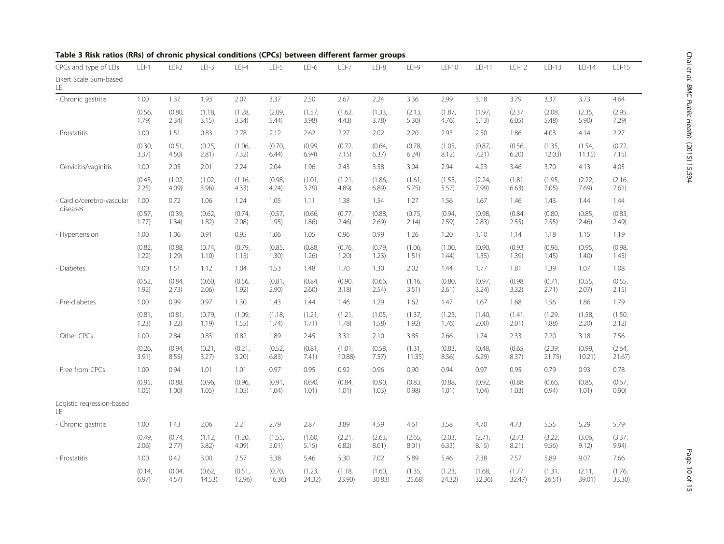| CPCs and type of LEIs            | $LEI-1$         | $LEI-2$         | $LEI-3$          | $LEI-4$          | $LEI-5$          | LEI-6            | $LEI-7$          | LEI-8            | $LEI-9$          | $LEI-10$         | $LEI-11$         | $LEI-12$         | $LEI-13$         | $LEI-14$         | $LEI-15$         |
|----------------------------------|-----------------|-----------------|------------------|------------------|------------------|------------------|------------------|------------------|------------------|------------------|------------------|------------------|------------------|------------------|------------------|
| Likert Scale Sum-based<br>LEI    |                 |                 |                  |                  |                  |                  |                  |                  |                  |                  |                  |                  |                  |                  |                  |
| - Chronic gastritis              | 1.00            | 1.37            | 1.93             | 2.07             | 3.37             | 2.50             | 2.67             | 2.24             | 3.36             | 2.99             | 3.18             | 3.79             | 3.37             | 3.73             | 4.64             |
|                                  | (0.56,<br>1.79) | (0.80,<br>2.34) | (1.18,<br>3.15)  | (1.28,<br>3.34)  | (2.09)<br>5.44)  | (1.57,<br>3.98)  | (1.62,<br>4.43)  | (1.33,<br>3.78)  | (2.13,<br>5.30)  | (1.87,<br>4.76)  | (1.97,<br>5.13)  | (2.37,<br>6.05)  | (2.08,<br>5.48   | (2.35,<br>5.90)  | (2.95,<br>7.29)  |
| - Prostatitis                    | 1.00            | 1.51            | 0.83             | 2.78             | 2.12             | 2.62             | 2.27             | 2.02             | 2.20             | 2.93             | 2.50             | 1.86             | 4.03             | 4.14             | 2.27             |
|                                  | (0.30,<br>3.37) | (0.51,<br>4.50) | (0.25,<br>2.81)  | (1.06,<br>7.32)  | (0.70)<br>6.44)  | (0.99,<br>6.94)  | (0.72,<br>7.15)  | (0.64,<br>6.37)  | (0.78,<br>6.24)  | (1.05,<br>8.12)  | (0.87,<br>7.21)  | (0.56,<br>6.20   | (1.35,<br>12.03) | (1.54,<br>11.15) | (0.72,<br>7.15)  |
| - Cervicitis/vaginitis           | 1.00            | 2.05            | 2.01             | 2.24             | 2.04             | 1.96             | 2.43             | 3.58             | 3.04             | 2.94             | 4.23             | 3.46             | 3.70             | 4.13             | 4.05             |
|                                  | (0.45,<br>2.25) | (1.02,<br>4.09  | (1.02,<br>3.96   | (1.16,<br>4.33)  | (0.98,<br>4.24)  | (1.01,<br>3.79)  | (1.21,<br>4.89   | (1.86,<br>6.89)  | (1.61,<br>5.75)  | (1.55,<br>5.57   | (2.24,<br>7.99   | (1.81,<br>6.63)  | (1.95,<br>7.05)  | (2.22,<br>7.69)  | (2.16,<br>7.61)  |
| - Cardio/cerebro-vascular        | 1.00            | 0.72            | 1.06             | 1.24             | 1.05             | 1.11             | 1.38             | 1.54             | 1.27             | 1.56             | 1.67             | 1.46             | 1.43             | 1.44             | 1.44             |
| diseases                         | (0.57,<br>1.77  | (0.39,<br>1.34) | (0.62,<br>1.82)  | (0.74,<br>2.08)  | (0.57,<br>1.95)  | (0.66,<br>1.86)  | (0.77,<br>2.46)  | (0.88,<br>2.69)  | (0.75,<br>2.14)  | (0.94,<br>2.59)  | (0.98,<br>2.83)  | (0.84,<br>2.55)  | (0.80,<br>2.55)  | (0.85,<br>2.46)  | (0.83,<br>2.49)  |
| - Hypertension                   | 1.00            | 1.06            | 0.91             | 0.95             | 1.06             | 1.05             | 0.96             | 0.99             | 1.26             | 1.20             | 1.10             | 1.14             | 1.18             | 1.15             | 1.19             |
|                                  | (0.82,<br>1.22) | (0.88,<br>1.29) | (0.74,<br>1.10)  | (0.79,<br>1.15)  | (0.85,<br>1.30)  | (0.88,<br>1.26)  | (0.76,<br>1.20)  | (0.79,<br>1.23)  | (1.06,<br>1.51)  | (1.00,<br>1.44)  | (0.90,<br>1.35)  | (0.93,<br>1.39)  | (0.96,<br>1.45)  | (0.95,<br>1.40)  | (0.98,<br>1.45)  |
| - Diabetes                       | 1.00            | 1.51            | 1.12             | 1.04             | 1.53             | 1.48             | 1.70             | 1.30             | 2.02             | 1.44             | 1.77             | 1.81             | 1.39             | 1.07             | 1.08             |
|                                  | (0.52,<br>1.92) | (0.84,<br>2.73) | (0.60,<br>2.06)  | (0.56,<br>1.92)  | (0.81,<br>2.90)  | (0.84,<br>2.60)  | (0.90,<br>3.18)  | (0.66,<br>2.54)  | (1.16,<br>3.51)  | (0.80,<br>2.61)  | (0.97,<br>3.24)  | (0.98,<br>3.32)  | (0.71,<br>2.71)  | (0.55,<br>2.07)  | (0.55,<br>2.15)  |
| - Pre-diabetes                   | 1.00            | 0.99            | 0.97             | 1.30             | 1.43             | 1.44             | 1.46             | 1.29             | 1.62             | 1.47             | 1.67             | 1.68             | 1.56             | 1.86             | 1.79             |
|                                  | (0.81,<br>1.23) | (0.81,<br>1.22) | (0.79,<br>1.19)  | (1.09,<br>1.55)  | (1.18,<br>1.74)  | (1.21,<br>1.71)  | (1.21,<br>1.78)  | (1.05,<br>1.58)  | (1.37,<br>1.92)  | (1.23,<br>1.76)  | (1.40,<br>2.00)  | (1.41,<br>2.01)  | (1.29,<br>1.88)  | (1.58,<br>2.20)  | (1.50,<br>2.12)  |
| - Other CPCs                     | 1.00            | 2.84            | 0.83             | 0.82             | 1.89             | 2.45             | 3.31             | 2.10             | 3.85             | 2.66             | 1.74             | 2.33             | 7.20             | 3.18             | 7.56             |
|                                  | (0.26,<br>3.91) | (0.94,<br>8.55) | (0.21,<br>3.27   | (0.21,<br>3.20   | (0.52,<br>6.83)  | (0.81,<br>7.41)  | (1.01,<br>10.88) | (0.58,<br>7.57)  | (1.31,<br>11.35) | (0.83,<br>8.56)  | (0.48,<br>6.29   | (0.65,<br>8.37)  | (2.39,<br>21.75) | (0.99,<br>10.21) | (2.64,<br>21.67) |
| - Free from CPCs                 | 1.00            | 0.94            | 1.01             | 1.01             | 0.97             | 0.95             | 0.92             | 0.96             | 0.90             | 0.94             | 0.97             | 0.95             | 0.79             | 0.93             | 0.78             |
|                                  | (0.95,<br>1.05) | (0.88,<br>1.00) | (0.96,<br>1.05)  | (0.96,<br>1.05)  | (0.91,<br>1.04)  | (0.90,<br>1.01)  | (0.84,<br>1.01)  | (0.90,<br>1.03)  | (0.83,<br>0.98   | (0.88,<br>1.01)  | (0.92,<br>1.04)  | (0.88,<br>1.03)  | (0.66,<br>0.94)  | (0.85,<br>1.01)  | (0.67,<br>0.90)  |
| Logistic regression-based<br>LEI |                 |                 |                  |                  |                  |                  |                  |                  |                  |                  |                  |                  |                  |                  |                  |
| - Chronic gastritis              | 1.00            | 1.43            | 2.06             | 2.21             | 2.79             | 2.87             | 3.89             | 4.59             | 4.61             | 3.58             | 4.70             | 4.73             | 5.55             | 5.29             | 5.79             |
|                                  | (0.49,<br>2.06) | (0.74,<br>2.77) | (1.12,<br>3.82)  | (1.20,<br>4.09   | (1.55,<br>5.01)  | (1.60,<br>5.15)  | (2.21,<br>6.82)  | (2.63,<br>8.01)  | (2.65,<br>8.01)  | (2.03,<br>6.33)  | (2.71,<br>8.15)  | (2.73,<br>8.21)  | (3.22,<br>9.56)  | (3.06,<br>9.12)  | (3.37,<br>9.94)  |
| - Prostatitis                    | 1.00            | 0.42            | 3.00             | 2.57             | 3.38             | 5.46             | 5.30             | 7.02             | 5.89             | 5.46             | 7.38             | 7.57             | 5.89             | 9.07             | 7.66             |
|                                  | (0.14,<br>6.97) | (0.04,<br>4.57) | (0.62,<br>14.53) | (0.51,<br>12.96) | (0.70,<br>16.36) | (1.23,<br>24.32) | (1.18,<br>23.90) | (1.60,<br>30.83) | (1.35,<br>25.68) | (1.23,<br>24.32) | (1.68,<br>32.36) | (1.77,<br>32.47) | (1.31,<br>26.51) | (2.11,<br>39.01) | (1.76,<br>33.30) |

# <span id="page-9-0"></span>Table 3 Risk ratios (RRs) of chronic physical conditions (CPCs) between different farmer groups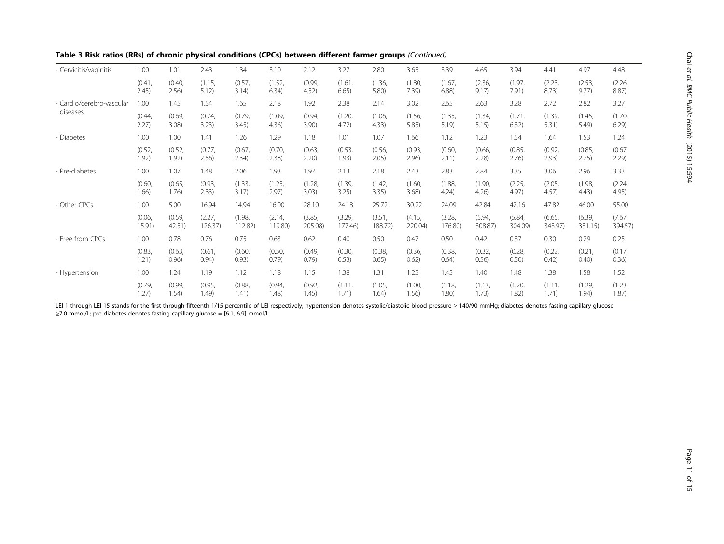|  |  |  | Table 3 Risk ratios (RRs) of chronic physical conditions (CPCs) between different farmer groups (Continued) |  |
|--|--|--|-------------------------------------------------------------------------------------------------------------|--|
|--|--|--|-------------------------------------------------------------------------------------------------------------|--|

| - Cervicitis/vaginitis    | 1.00   | 1.01   | 2.43    | 1.34    | 3.10    | 2.12    | 3.27    | 2.80    | 3.65    | 3.39    | 4.65    | 3.94    | 4.41    | 4.97    | 4.48    |
|---------------------------|--------|--------|---------|---------|---------|---------|---------|---------|---------|---------|---------|---------|---------|---------|---------|
|                           | (0.41, | (0.40, | (1.15,  | (0.57,  | (1.52,  | (0.99,  | (1.61,  | (1.36,  | (1.80,  | (1.67,  | (2.36,  | (1.97,  | (2.23,  | (2.53,  | (2.26,  |
|                           | 2.45)  | 2.56)  | 5.12)   | 3.14)   | 6.34)   | 4.52)   | 6.65)   | 5.80)   | 7.39)   | 6.88)   | 9.17)   | 7.91)   | 8.73)   | 9.77    | 8.87)   |
| - Cardio/cerebro-vascular | 1.00   | 1.45   | 1.54    | 1.65    | 2.18    | 1.92    | 2.38    | 2.14    | 3.02    | 2.65    | 2.63    | 3.28    | 2.72    | 2.82    | 3.27    |
| diseases                  | (0.44, | (0.69, | (0.74,  | (0.79,  | (1.09,  | (0.94,  | (1.20,  | (1.06,  | (1.56,  | (1.35,  | (1.34,  | (1.71,  | (1.39,  | (1.45,  | (1.70,  |
|                           | 2.27)  | 3.08)  | 3.23)   | 3.45)   | 4.36)   | 3.90)   | 4.72)   | 4.33)   | 5.85)   | 5.19    | 5.15)   | 6.32)   | 5.31)   | 5.49)   | 6.29    |
| - Diabetes                | 1.00   | 1.00   | 1.41    | 1.26    | 1.29    | 1.18    | 1.01    | 1.07    | 1.66    | 1.12    | 1.23    | 1.54    | 1.64    | 1.53    | 1.24    |
|                           | (0.52, | (0.52, | (0.77,  | (0.67,  | (0.70,  | (0.63,  | (0.53,  | (0.56,  | (0.93,  | (0.60,  | (0.66,  | (0.85,  | (0.92,  | (0.85,  | (0.67,  |
|                           | 1.92)  | 1.92)  | 2.56)   | 2.34)   | 2.38)   | 2.20)   | 1.93)   | 2.05)   | 2.96)   | 2.11)   | 2.28    | 2.76)   | 2.93)   | 2.75)   | 2.29    |
| - Pre-diabetes            | 1.00   | 1.07   | 1.48    | 2.06    | 1.93    | 1.97    | 2.13    | 2.18    | 2.43    | 2.83    | 2.84    | 3.35    | 3.06    | 2.96    | 3.33    |
|                           | (0.60, | (0.65, | (0.93,  | (1.33,  | (1.25,  | (1.28,  | (1.39,  | (1.42,  | (1.60,  | (1.88,  | (1.90,  | (2.25,  | (2.05,  | (1.98,  | (2.24,  |
|                           | 1.66)  | 1.76)  | 2.33)   | 3.17)   | 2.97)   | 3.03)   | 3.25)   | 3.35)   | 3.68)   | 4.24)   | 4.26    | 4.97    | 4.57    | 4.43)   | 4.95)   |
| - Other CPCs              | 1.00   | 5.00   | 16.94   | 14.94   | 16.00   | 28.10   | 24.18   | 25.72   | 30.22   | 24.09   | 42.84   | 42.16   | 47.82   | 46.00   | 55.00   |
|                           | (0.06, | (0.59, | (2.27,  | (1.98,  | (2.14,  | (3.85,  | (3.29,  | (3.51,  | (4.15,  | (3.28,  | (5.94,  | (5.84,  | (6.65,  | (6.39,  | (7.67,  |
|                           | 15.91) | 42.51) | 126.37) | 112.82) | 119.80) | 205.08) | 177.46) | 188.72) | 220.04) | 176.80) | 308.87) | 304.09) | 343.97) | 331.15) | 394.57) |
| - Free from CPCs          | 1.00   | 0.78   | 0.76    | 0.75    | 0.63    | 0.62    | 0.40    | 0.50    | 0.47    | 0.50    | 0.42    | 0.37    | 0.30    | 0.29    | 0.25    |
|                           | (0.83, | (0.63, | (0.61,  | (0.60,  | (0.50,  | (0.49,  | (0.30,  | (0.38,  | (0.36,  | (0.38,  | (0.32,  | (0.28,  | (0.22,  | (0.21,  | (0.17,  |
|                           | 1.21)  | 0.96)  | 0.94)   | 0.93)   | 0.79)   | 0.79)   | 0.53)   | 0.65)   | 0.62)   | 0.64)   | 0.56)   | 0.50)   | 0.42)   | 0.40)   | 0.36)   |
| - Hypertension            | 1.00   | 1.24   | 1.19    | 1.12    | 1.18    | 1.15    | 1.38    | 1.31    | 1.25    | 1.45    | 1.40    | 1.48    | 1.38    | 1.58    | 1.52    |
|                           | (0.79, | (0.99, | (0.95,  | (0.88,  | (0.94,  | (0.92,  | (1.11,  | (1.05,  | (1.00,  | (1.18,  | (1.13,  | (1.20,  | (1.11,  | (1.29,  | (1.23,  |
|                           | 1.27)  | 1.54)  | 1.49)   | 1.41)   | 1.48)   | 1.45)   | 1.71)   | 1.64)   | 1.56)   | 1.80)   | 1.73)   | 1.82)   | 1.71)   | 1.94)   | 1.87)   |

LEI-1 through LEI-15 stands for the first through fifteenth 1/15-percentile of LEI respectively; hypertension denotes systolic/diastolic blood pressure ≥ 140/90 mmHg; diabetes denotes fasting capillary glucose ≥7.0 mmol/L; pre-diabetes denotes fasting capillary glucose = [6.1, 6.9] mmol/L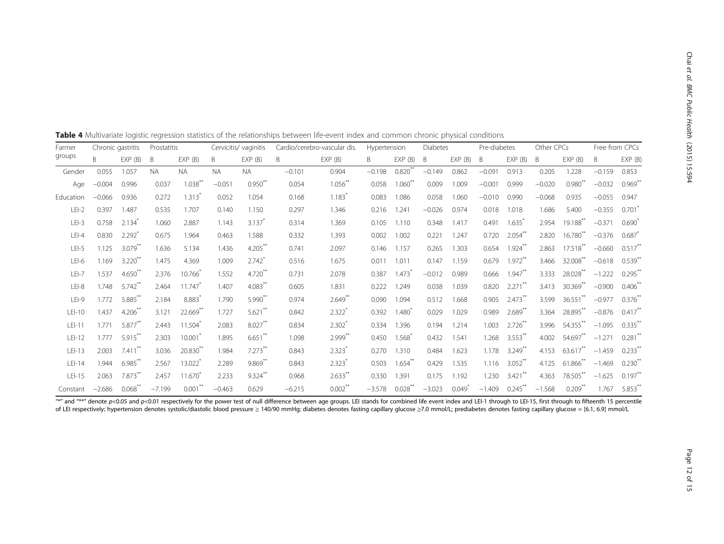<span id="page-11-0"></span>

| <b>Table 4</b> Multivariate logistic regression statistics of the relationships between life-event index and common chronic physical conditions |  |  |  |
|-------------------------------------------------------------------------------------------------------------------------------------------------|--|--|--|
|-------------------------------------------------------------------------------------------------------------------------------------------------|--|--|--|

| Farmer    | Chronic gastritis |                       | Prostatitis |                      |           | Cervicitis/ vaginitis |          | Cardio/cerebro-vascular dis. | Hypertension |                    | <b>Diabetes</b> |        | Pre-diabetes |                       | Other CPCs |             | Free from CPCs |                              |
|-----------|-------------------|-----------------------|-------------|----------------------|-----------|-----------------------|----------|------------------------------|--------------|--------------------|-----------------|--------|--------------|-----------------------|------------|-------------|----------------|------------------------------|
| groups    | B                 | EXP(B)                | B           | EXP(B)               | B         | EXP(B)                | B        | EXP(B)                       | B.           | EXP(B)             | B               | EXP(B) | B            | EXP(B)                | B          | EXP(B)      | B              | EXP(B)                       |
| Gender    | 0.055             | 1.057                 | <b>NA</b>   | <b>NA</b>            | <b>NA</b> | <b>NA</b>             | $-0.101$ | 0.904                        | $-0.198$     | $0.820**$          | $-0.149$        | 0.862  | $-0.091$     | 0.913                 | 0.205      | 1.228       | $-0.159$       | 0.853                        |
| Age       | $-0.004$          | 0.996                 | 0.037       | $1.038***$           | $-0.051$  | $0.950$ **            | 0.054    | $1.056**$                    | 0.058        | $1.060**$          | 0.009           | 1.009  | $-0.001$     | 0.999                 | $-0.020$   | $0.980**$   | $-0.032$       | $0.969***$                   |
| Education | $-0.066$          | 0.936                 | 0.272       | $1.313$ <sup>*</sup> | 0.052     | 1.054                 | 0.168    | $1.183$ <sup>*</sup>         | 0.083        | 1.086              | 0.058           | 1.060  | $-0.010$     | 0.990                 | $-0.068$   | 0.935       | $-0.055$       | 0.947                        |
| $LEI-2$   | 0.397             | 1.487                 | 0.535       | 1.707                | 0.140     | 1.150                 | 0.297    | 1.346                        | 0.216        | 1.241              | $-0.026$        | 0.974  | 0.018        | 1.018                 | 1.686      | 5.400       | $-0.355$       | 0.701                        |
| $LEI-3$   | 0.758             | $2.134$ <sup>*</sup>  | 1.060       | 2.887                | 1.143     | $3.137*$              | 0.314    | 1.369                        | 0.105        | 1.110              | 0.348           | 1.417  | 0.491        | $1.635$ <sup>*</sup>  | 2.954      | 19.188**    | $-0.371$       | $0.690^*$                    |
| LEI-4     | 0.830             | $2.292$ <sup>*</sup>  | 0.675       | 1.964                | 0.463     | 1.588                 | 0.332    | 1.393                        | 0.002        | 1.002              | 0.221           | 1.247  | 0.720        | 2.054                 | 2.820      | $16.780**$  | $-0.376$       | 0.687                        |
| LEI-5     | 1.125             | $3.079***$            | 1.636       | 5.134                | 1.436     | $4.205***$            | 0.741    | 2.097                        | 0.146        | 1.157              | 0.265           | 1.303  | 0.654        | $1.924$ <sup>**</sup> | 2.863      | 17.518**    | $-0.660$       | $0.517***$                   |
| LEI-6     | 1.169             | $3.220$ **            | 1.475       | 4.369                | 1.009     | $2.742*$              | 0.516    | 1.675                        | 0.011        | 1.011              | 0.147           | 1.159  | 0.679        | $1.972**$             | 3.466      | 32.008**    |                | $-0.618$ 0.539 <sup>**</sup> |
| LEI-7     | 1.537             | $4.650**$             | 2.376       | 10.766               | 1.552     | $4.720**$             | 0.731    | 2.078                        | 0.387        | 1.473              | $-0.012$        | 0.989  | 0.666        | $1.947***$            | 3.333      | 28.028**    | $-1.222$       | $0.295***$                   |
| LEI-8     | 1.748             | $5.742$ **            | 2.464       | 11.747               | 1.407     | $4.083**$             | 0.605    | 1.831                        | 0.222        | 1.249              | 0.038           | 1.039  | 0.820        | $2.271***$            | 3.413      | 30.369**    | $-0.900$       | $0.406***$                   |
| LEI-9     | 1.772             | 5.885**               | 2.184       | 8.883                | 1.790     | $5.990**$             | 0.974    | $2.649**$                    | 0.090        | 1.094              | 0.512           | 1.668  | 0.905        | $2.473**$             | 3.599      | $36.551***$ | $-0.977$       | $0.376***$                   |
| LEI-10    | 1.437             | $4.206$ **            | 3.121       | 22.669**             | 1.727     | $5.621$ **            | 0.842    | $2.322$ <sup>*</sup>         | 0.392        | $1.480^{^{\circ}}$ | 0.029           | 1.029  | 0.989        | $2.689$ <sup>*</sup>  | 3.364      | 28.895      | $-0.876$       | $0.417***$                   |
| LEI-11    | 1.771             | $5.877***$            | 2.443       | 11.504               | 2.083     | $8.027***$            | 0.834    | $2.302$ <sup>*</sup>         | 0.334        | 1.396              | 0.194           | 1.214  | 1.003        | 2.726                 | 3.996      | 54.355**    | $-1.095$       | $0.335***$                   |
| LEI-12    | 1.777             | $5.915***$            | 2.303       | 10.001               | 1.895     | $6.651$ **            | 1.098    | $2.999$ **                   | 0.450        | 1.568              | 0.432           | 1.541  | 1.268        | $3.553$ <sup>**</sup> | 4.002      | 54.697**    | $-1.271$       | $0.281$ **                   |
| $LEI-13$  | 2.003             | $7.411$ <sup>**</sup> | 3.036       | $20.830$ **          | 1.984     | $7.273**$             | 0.843    | $2.323$ <sup>*</sup>         | 0.270        | 1.310              | 0.484           | 1.623  | 1.178        | $3.249**$             | 4.153      | 63.617**    | $-1.459$       | $0.233$ <sup>**</sup>        |
| LEI-14    | 1.944             | $6.985***$            | 2.567       | 13.022               | 2.289     | $9.869**$             | 0.843    | $2.323*$                     | 0.503        | $1.654***$         | 0.429           | 1.535  | 1.116        | $3.052$ **            | 4.125      | 61.866**    | $-1.469$       | $0.230***$                   |
| LEI-15    | 2.063             | $7.873**$             | 2.457       | 11.670               | 2.233     | $9.324***$            | 0.968    | $2.633**$                    | 0.330        | 1.391              | 0.175           | 1.192  | 1.230        | $3.421$ **            | 4.363      | 78.505**    | $-1.625$       | $0.197***$                   |
| Constant  | $-2.686$          | $0.068$ **            | $-7.199$    | $0.001***$           | $-0.463$  | 0.629                 | $-6.215$ | $0.002$ **                   | $-3.578$     | $0.028***$         | $-3.023$        | 0.049  | $-1.409$     | $0.245$ **            | $-1.568$   | $0.209$ **  | 1.767          | $5.853***$                   |

 $\frac{1}{100}$  and "\*\*" denote p<0.05 and p<0.01 respectively for the power test of null difference between age groups. LEI stands for combined life event index and LEI-1 through to LEI-15, first through to fifteenth 15 perc of LEI respectively; hypertension denotes systolic/diastolic blood pressure ≥ 140/90 mmHg; diabetes denotes fasting capillary glucose ≥7.0 mmol/L; prediabetes denotes fasting capillary glucose = [6.1, 6.9] mmol/L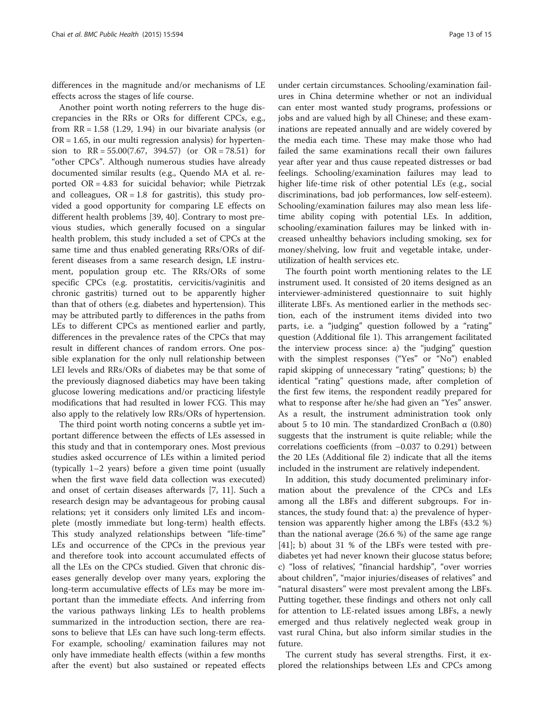differences in the magnitude and/or mechanisms of LE effects across the stages of life course.

Another point worth noting referrers to the huge discrepancies in the RRs or ORs for different CPCs, e.g., from  $RR = 1.58$  (1.29, 1.94) in our bivariate analysis (or  $OR = 1.65$ , in our multi regression analysis) for hypertension to  $RR = 55.00(7.67, 394.57)$  (or  $OR = 78.51$ ) for "other CPCs". Although numerous studies have already documented similar results (e.g., Quendo MA et al. reported OR = 4.83 for suicidal behavior; while Pietrzak and colleagues,  $OR = 1.8$  for gastritis), this study provided a good opportunity for comparing LE effects on different health problems [[39](#page-14-0), [40](#page-14-0)]. Contrary to most previous studies, which generally focused on a singular health problem, this study included a set of CPCs at the same time and thus enabled generating RRs/ORs of different diseases from a same research design, LE instrument, population group etc. The RRs/ORs of some specific CPCs (e.g. prostatitis, cervicitis/vaginitis and chronic gastritis) turned out to be apparently higher than that of others (e.g. diabetes and hypertension). This may be attributed partly to differences in the paths from LEs to different CPCs as mentioned earlier and partly, differences in the prevalence rates of the CPCs that may result in different chances of random errors. One possible explanation for the only null relationship between LEI levels and RRs/ORs of diabetes may be that some of the previously diagnosed diabetics may have been taking glucose lowering medications and/or practicing lifestyle modifications that had resulted in lower FCG. This may also apply to the relatively low RRs/ORs of hypertension.

The third point worth noting concerns a subtle yet important difference between the effects of LEs assessed in this study and that in contemporary ones. Most previous studies asked occurrence of LEs within a limited period (typically 1–2 years) before a given time point (usually when the first wave field data collection was executed) and onset of certain diseases afterwards [[7, 11\]](#page-14-0). Such a research design may be advantageous for probing causal relations; yet it considers only limited LEs and incomplete (mostly immediate but long-term) health effects. This study analyzed relationships between "life-time" LEs and occurrence of the CPCs in the previous year and therefore took into account accumulated effects of all the LEs on the CPCs studied. Given that chronic diseases generally develop over many years, exploring the long-term accumulative effects of LEs may be more important than the immediate effects. And inferring from the various pathways linking LEs to health problems summarized in the introduction section, there are reasons to believe that LEs can have such long-term effects. For example, schooling/ examination failures may not only have immediate health effects (within a few months after the event) but also sustained or repeated effects

under certain circumstances. Schooling/examination failures in China determine whether or not an individual can enter most wanted study programs, professions or jobs and are valued high by all Chinese; and these examinations are repeated annually and are widely covered by the media each time. These may make those who had failed the same examinations recall their own failures year after year and thus cause repeated distresses or bad feelings. Schooling/examination failures may lead to higher life-time risk of other potential LEs (e.g., social discriminations, bad job performances, low self-esteem). Schooling/examination failures may also mean less lifetime ability coping with potential LEs. In addition, schooling/examination failures may be linked with increased unhealthy behaviors including smoking, sex for money/shelving, low fruit and vegetable intake, underutilization of health services etc.

The fourth point worth mentioning relates to the LE instrument used. It consisted of 20 items designed as an interviewer-administered questionnaire to suit highly illiterate LBFs. As mentioned earlier in the methods section, each of the instrument items divided into two parts, i.e. a "judging" question followed by a "rating" question (Additional file [1](#page-13-0)). This arrangement facilitated the interview process since: a) the "judging" question with the simplest responses ("Yes" or "No") enabled rapid skipping of unnecessary "rating" questions; b) the identical "rating" questions made, after completion of the first few items, the respondent readily prepared for what to response after he/she had given an "Yes" answer. As a result, the instrument administration took only about 5 to 10 min. The standardized CronBach  $\alpha$  (0.80) suggests that the instrument is quite reliable; while the correlations coefficients (from −0.037 to 0.291) between the 20 LEs (Additional file [2](#page-13-0)) indicate that all the items included in the instrument are relatively independent.

In addition, this study documented preliminary information about the prevalence of the CPCs and LEs among all the LBFs and different subgroups. For instances, the study found that: a) the prevalence of hypertension was apparently higher among the LBFs (43.2 %) than the national average (26.6 %) of the same age range [[41\]](#page-14-0); b) about 31 % of the LBFs were tested with prediabetes yet had never known their glucose status before; c) "loss of relatives', "financial hardship", "over worries about children", "major injuries/diseases of relatives" and "natural disasters" were most prevalent among the LBFs. Putting together, these findings and others not only call for attention to LE-related issues among LBFs, a newly emerged and thus relatively neglected weak group in vast rural China, but also inform similar studies in the future.

The current study has several strengths. First, it explored the relationships between LEs and CPCs among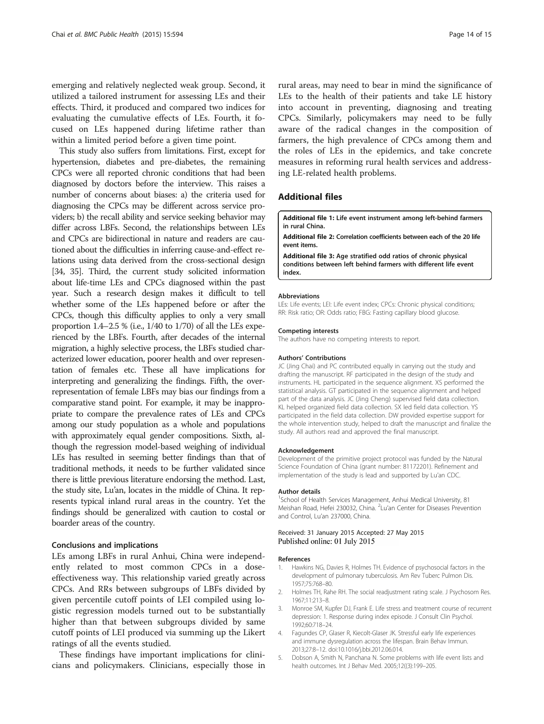<span id="page-13-0"></span>emerging and relatively neglected weak group. Second, it utilized a tailored instrument for assessing LEs and their effects. Third, it produced and compared two indices for evaluating the cumulative effects of LEs. Fourth, it focused on LEs happened during lifetime rather than within a limited period before a given time point.

This study also suffers from limitations. First, except for hypertension, diabetes and pre-diabetes, the remaining CPCs were all reported chronic conditions that had been diagnosed by doctors before the interview. This raises a number of concerns about biases: a) the criteria used for diagnosing the CPCs may be different across service providers; b) the recall ability and service seeking behavior may differ across LBFs. Second, the relationships between LEs and CPCs are bidirectional in nature and readers are cautioned about the difficulties in inferring cause-and-effect relations using data derived from the cross-sectional design [[34](#page-14-0), [35](#page-14-0)]. Third, the current study solicited information about life-time LEs and CPCs diagnosed within the past year. Such a research design makes it difficult to tell whether some of the LEs happened before or after the CPCs, though this difficulty applies to only a very small proportion  $1.4-2.5$  % (i.e.,  $1/40$  to  $1/70$ ) of all the LEs experienced by the LBFs. Fourth, after decades of the internal migration, a highly selective process, the LBFs studied characterized lower education, poorer health and over representation of females etc. These all have implications for interpreting and generalizing the findings. Fifth, the overrepresentation of female LBFs may bias our findings from a comparative stand point. For example, it may be inappropriate to compare the prevalence rates of LEs and CPCs among our study population as a whole and populations with approximately equal gender compositions. Sixth, although the regression model-based weighing of individual LEs has resulted in seeming better findings than that of traditional methods, it needs to be further validated since there is little previous literature endorsing the method. Last, the study site, Lu'an, locates in the middle of China. It represents typical inland rural areas in the country. Yet the findings should be generalized with caution to costal or boarder areas of the country.

#### Conclusions and implications

LEs among LBFs in rural Anhui, China were independently related to most common CPCs in a doseeffectiveness way. This relationship varied greatly across CPCs. And RRs between subgroups of LBFs divided by given percentile cutoff points of LEI compiled using logistic regression models turned out to be substantially higher than that between subgroups divided by same cutoff points of LEI produced via summing up the Likert ratings of all the events studied.

These findings have important implications for clinicians and policymakers. Clinicians, especially those in

rural areas, may need to bear in mind the significance of LEs to the health of their patients and take LE history into account in preventing, diagnosing and treating CPCs. Similarly, policymakers may need to be fully aware of the radical changes in the composition of farmers, the high prevalence of CPCs among them and the roles of LEs in the epidemics, and take concrete measures in reforming rural health services and addressing LE-related health problems.

# Additional files

[Additional file 1:](http://www.biomedcentral.com/content/supplementary/s12889-015-1877-0-s1.doc) Life event instrument among left-behind farmers in rural China.

[Additional file 2:](http://www.biomedcentral.com/content/supplementary/s12889-015-1877-0-s2.doc) Correlation coefficients between each of the 20 life event items.

[Additional file 3:](http://www.biomedcentral.com/content/supplementary/s12889-015-1877-0-s3.docx) Age stratified odd ratios of chronic physical conditions between left behind farmers with different life event index.

#### **Abbreviations**

LEs: Life events; LEI: Life event index; CPCs: Chronic physical conditions; RR: Risk ratio; OR: Odds ratio; FBG: Fasting capillary blood glucose.

#### Competing interests

The authors have no competing interests to report.

#### Authors' Contributions

JC (Jing Chai) and PC contributed equally in carrying out the study and drafting the manuscript. RF participated in the design of the study and instruments. HL participated in the sequence alignment. XS performed the statistical analysis. GT participated in the sequence alignment and helped part of the data analysis. JC (Jing Cheng) supervised field data collection. KL helped organized field data collection. SX led field data collection. YS participated in the field data collection. DW provided expertise support for the whole intervention study, helped to draft the manuscript and finalize the study. All authors read and approved the final manuscript.

#### Acknowledgement

Development of the primitive project protocol was funded by the Natural Science Foundation of China (grant number: 81172201). Refinement and implementation of the study is lead and supported by Lu'an CDC.

#### Author details

<sup>1</sup>School of Health Services Management, Anhui Medical University, 81 Meishan Road, Hefei 230032, China. <sup>2</sup>Lu'an Center for Diseases Prevention and Control, Lu'an 237000, China.

#### Received: 31 January 2015 Accepted: 27 May 2015 Published online: 01 July 2015

#### References

- 1. Hawkins NG, Davies R, Holmes TH. Evidence of psychosocial factors in the development of pulmonary tuberculosis. Am Rev Tuberc Pulmon Dis. 1957;75:768–80.
- 2. Holmes TH, Rahe RH. The social readjustment rating scale. J Psychosom Res. 1967;11:213–8.
- 3. Monroe SM, Kupfer DJ, Frank E. Life stress and treatment course of recurrent depression: 1. Response during index episode. J Consult Clin Psychol. 1992;60:718–24.
- 4. Fagundes CP, Glaser R, Kiecolt-Glaser JK. Stressful early life experiences and immune dysregulation across the lifespan. Brain Behav Immun. 2013;27:8–12. doi[:10.1016/j.bbi.2012.06.014](http://dx.doi.org/10.1016/j.bbi.2012.06.014).
- 5. Dobson A, Smith N, Panchana N. Some problems with life event lists and health outcomes. Int J Behav Med. 2005;12((3):199–205.